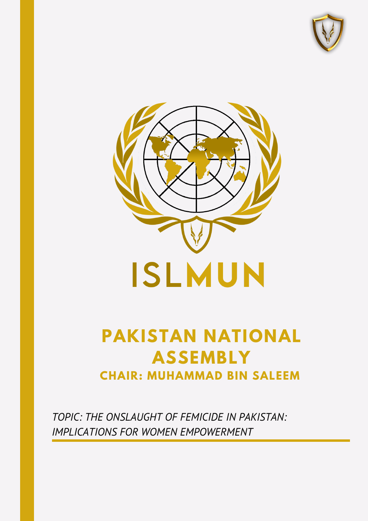



# **PAKISTAN NATIONAL ASSEMBLY CHAIR: MUHAMMAD BIN SALEEM**

*TOPIC: THE ONSLAUGHT OF FEMICIDE IN PAKISTAN: IMPLICATIONS FOR WOMEN EMPOWERMENT*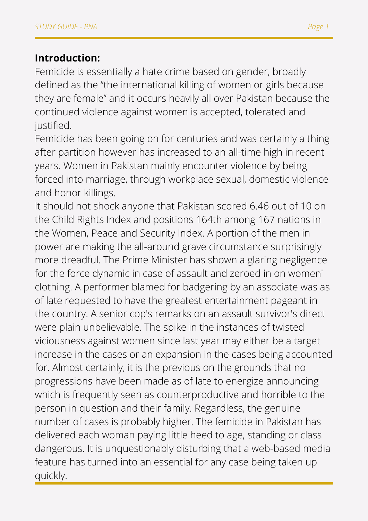#### **Introduction:**

Femicide is essentially a hate crime based on gender, broadly defined as the "the international killing of women or girls because they are female" and it occurs heavily all over Pakistan because the continued violence against women is accepted, tolerated and justified.

Femicide has been going on for centuries and was certainly a thing after partition however has increased to an all-time high in recent years. Women in Pakistan mainly encounter violence by being forced into marriage, through workplace sexual, domestic violence and honor killings.

It should not shock anyone that Pakistan scored 6.46 out of 10 on the Child Rights Index and positions 164th among 167 nations in the Women, Peace and Security Index. A portion of the men in power are making the all-around grave circumstance surprisingly more dreadful. The Prime Minister has shown a glaring negligence for the force dynamic in case of assault and zeroed in on women' clothing. A performer blamed for badgering by an associate was as of late requested to have the greatest entertainment pageant in the country. A senior cop's remarks on an assault survivor's direct were plain unbelievable. The spike in the instances of twisted viciousness against women since last year may either be a target increase in the cases or an expansion in the cases being accounted for. Almost certainly, it is the previous on the grounds that no progressions have been made as of late to energize announcing which is frequently seen as counterproductive and horrible to the person in question and their family. Regardless, the genuine number of cases is probably higher. The femicide in Pakistan has delivered each woman paying little heed to age, standing or class dangerous. It is unquestionably disturbing that a web-based media feature has turned into an essential for any case being taken up quickly.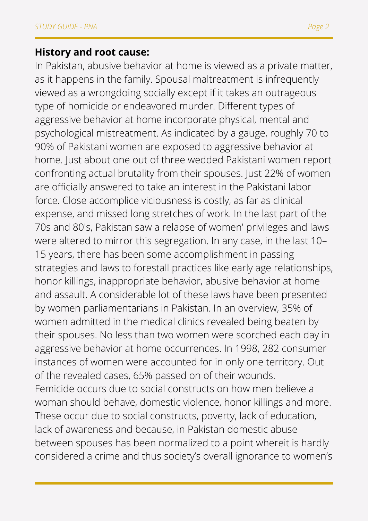#### **History and root cause:**

In Pakistan, abusive behavior at home is viewed as a private matter, as it happens in the family. Spousal maltreatment is infrequently viewed as a wrongdoing socially except if it takes an outrageous type of homicide or endeavored murder. Different types of aggressive behavior at home incorporate physical, mental and psychological mistreatment. As indicated by a gauge, roughly 70 to 90% of Pakistani women are exposed to aggressive behavior at home. Just about one out of three wedded Pakistani women report confronting actual brutality from their spouses. Just 22% of women are officially answered to take an interest in the Pakistani labor force. Close accomplice viciousness is costly, as far as clinical expense, and missed long stretches of work. In the last part of the 70s and 80's, Pakistan saw a relapse of women' privileges and laws were altered to mirror this segregation. In any case, in the last 10– 15 years, there has been some accomplishment in passing strategies and laws to forestall practices like early age relationships, honor killings, inappropriate behavior, abusive behavior at home and assault. A considerable lot of these laws have been presented by women parliamentarians in Pakistan. In an overview, 35% of women admitted in the medical clinics revealed being beaten by their spouses. No less than two women were scorched each day in aggressive behavior at home occurrences. In 1998, 282 consumer instances of women were accounted for in only one territory. Out of the revealed cases, 65% passed on of their wounds. Femicide occurs due to social constructs on how men believe a woman should behave, domestic violence, honor killings and more. These occur due to social constructs, poverty, lack of education, lack of awareness and because, in Pakistan domestic abuse between spouses has been normalized to a point whereit is hardly considered a crime and thus society's overall ignorance to women's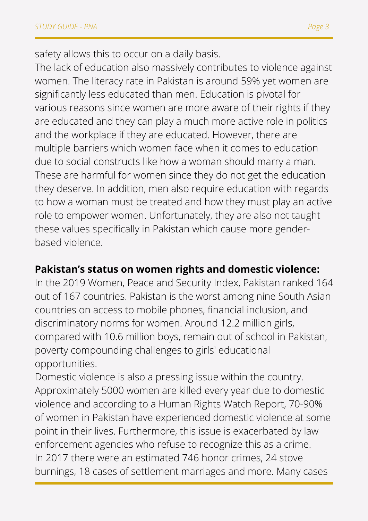safety allows this to occur on a daily basis.

The lack of education also massively contributes to violence against women. The literacy rate in Pakistan is around 59% yet women are significantly less educated than men. Education is pivotal for various reasons since women are more aware of their rights if they are educated and they can play a much more active role in politics and the workplace if they are educated. However, there are multiple barriers which women face when it comes to education due to social constructs like how a woman should marry a man. These are harmful for women since they do not get the education they deserve. In addition, men also require education with regards to how a woman must be treated and how they must play an active role to empower women. Unfortunately, they are also not taught these values specifically in Pakistan which cause more genderbased violence.

#### **Pakistan's status on women rights and domestic violence:**

In the 2019 Women, Peace and Security Index, Pakistan ranked 164 out of 167 countries. Pakistan is the worst among nine South Asian countries on access to mobile phones, financial inclusion, and discriminatory norms for women. Around 12.2 million girls, compared with 10.6 million boys, remain out of school in Pakistan, poverty compounding challenges to girls' educational opportunities.

Domestic violence is also a pressing issue within the country. Approximately 5000 women are killed every year due to domestic violence and according to a Human Rights Watch Report, 70-90% of women in Pakistan have experienced domestic violence at some point in their lives. Furthermore, this issue is exacerbated by law enforcement agencies who refuse to recognize this as a crime. In 2017 there were an estimated 746 honor crimes, 24 stove burnings, 18 cases of settlement marriages and more. Many cases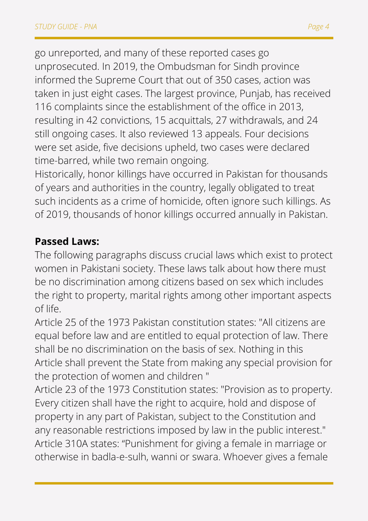go unreported, and many of these reported cases go unprosecuted. In 2019, the Ombudsman for Sindh province informed the Supreme Court that out of 350 cases, action was taken in just eight cases. The largest province, Punjab, has received 116 complaints since the establishment of the office in 2013, resulting in 42 convictions, 15 acquittals, 27 withdrawals, and 24 still ongoing cases. It also reviewed 13 appeals. Four decisions were set aside, five decisions upheld, two cases were declared time-barred, while two remain ongoing.

Historically, honor killings have occurred in Pakistan for thousands of years and authorities in the country, legally obligated to treat such incidents as a crime of homicide, often ignore such killings. As of 2019, thousands of honor killings occurred annually in Pakistan.

## **Passed Laws:**

The following paragraphs discuss crucial laws which exist to protect women in Pakistani society. These laws talk about how there must be no discrimination among citizens based on sex which includes the right to property, marital rights among other important aspects of life.

Article 25 of the 1973 Pakistan constitution states: "All citizens are equal before law and are entitled to equal protection of law. There shall be no discrimination on the basis of sex. Nothing in this Article shall prevent the State from making any special provision for the protection of women and children "

Article 23 of the 1973 Constitution states: "Provision as to property. Every citizen shall have the right to acquire, hold and dispose of property in any part of Pakistan, subject to the Constitution and any reasonable restrictions imposed by law in the public interest." Article 310A states: "Punishment for giving a female in marriage or otherwise in badla-e-sulh, wanni or swara. Whoever gives a female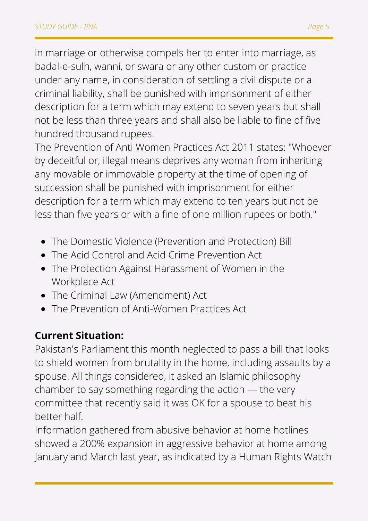in marriage or otherwise compels her to enter into marriage, as badal-e-sulh, wanni, or swara or any other custom or practice under any name, in consideration of settling a civil dispute or a criminal liability, shall be punished with imprisonment of either description for a term which may extend to seven years but shall not be less than three years and shall also be liable to fine of five

hundred thousand rupees.

The Prevention of Anti Women Practices Act 2011 states: "Whoever by deceitful or, illegal means deprives any woman from inheriting any movable or immovable property at the time of opening of succession shall be punished with imprisonment for either description for a term which may extend to ten years but not be less than five years or with a fine of one million rupees or both."

- The Domestic Violence (Prevention and Protection) Bill
- The Acid Control and Acid Crime Prevention Act
- The Protection Against Harassment of Women in the Workplace Act
- The Criminal Law (Amendment) Act
- The Prevention of Anti-Women Practices Act

# **Current Situation:**

Pakistan's Parliament this month neglected to pass a bill that looks to shield women from brutality in the home, including assaults by a spouse. All things considered, it asked an Islamic philosophy chamber to say something regarding the action — the very committee that recently said it was OK for a spouse to beat his better half.

Information gathered from abusive behavior at home hotlines showed a 200% expansion in aggressive behavior at home among January and March last year, as indicated by a Human Rights Watch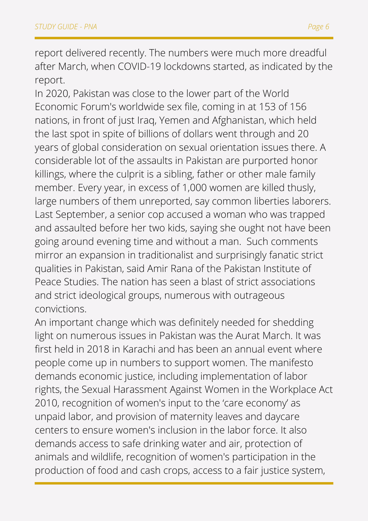report delivered recently. The numbers were much more dreadful after March, when COVID-19 lockdowns started, as indicated by the report.

In 2020, Pakistan was close to the lower part of the World Economic Forum's worldwide sex file, coming in at 153 of 156 nations, in front of just Iraq, Yemen and Afghanistan, which held the last spot in spite of billions of dollars went through and 20 years of global consideration on sexual orientation issues there. A considerable lot of the assaults in Pakistan are purported honor killings, where the culprit is a sibling, father or other male family member. Every year, in excess of 1,000 women are killed thusly, large numbers of them unreported, say common liberties laborers. Last September, a senior cop accused a woman who was trapped and assaulted before her two kids, saying she ought not have been going around evening time and without a man. Such comments mirror an expansion in traditionalist and surprisingly fanatic strict qualities in Pakistan, said Amir Rana of the Pakistan Institute of Peace Studies. The nation has seen a blast of strict associations and strict ideological groups, numerous with outrageous convictions.

An important change which was definitely needed for shedding light on numerous issues in Pakistan was the Aurat March. It was first held in 2018 in Karachi and has been an annual event where people come up in numbers to support women. The manifesto demands economic justice, including implementation of labor rights, the Sexual Harassment Against Women in the Workplace Act 2010, recognition of women's input to the 'care economy' as unpaid labor, and provision of maternity leaves and daycare centers to ensure women's inclusion in the labor force. It also demands access to safe drinking water and air, protection of animals and wildlife, recognition of women's participation in the production of food and cash crops, access to a fair justice system,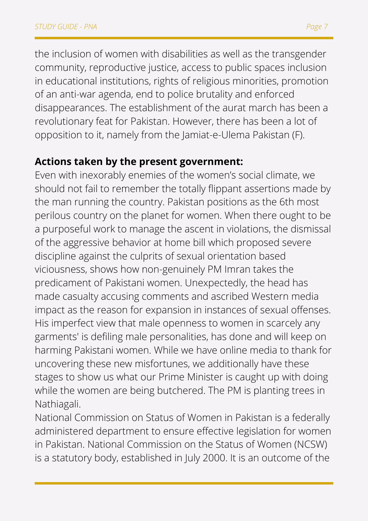the inclusion of women with disabilities as well as the transgender community, reproductive justice, access to public spaces inclusion in educational institutions, rights of religious minorities, promotion of an anti-war agenda, end to police brutality and enforced disappearances. The establishment of the aurat march has been a revolutionary feat for Pakistan. However, there has been a lot of opposition to it, namely from the Jamiat-e-Ulema Pakistan (F).

## **Actions taken by the present government:**

Even with inexorably enemies of the women's social climate, we should not fail to remember the totally flippant assertions made by the man running the country. Pakistan positions as the 6th most perilous country on the planet for women. When there ought to be a purposeful work to manage the ascent in violations, the dismissal of the aggressive behavior at home bill which proposed severe discipline against the culprits of sexual orientation based viciousness, shows how non-genuinely PM Imran takes the predicament of Pakistani women. Unexpectedly, the head has made casualty accusing comments and ascribed Western media impact as the reason for expansion in instances of sexual offenses. His imperfect view that male openness to women in scarcely any garments' is defiling male personalities, has done and will keep on harming Pakistani women. While we have online media to thank for uncovering these new misfortunes, we additionally have these stages to show us what our Prime Minister is caught up with doing while the women are being butchered. The PM is planting trees in Nathiagali.

National Commission on Status of Women in Pakistan is a federally administered department to ensure effective legislation for women in Pakistan. National Commission on the Status of Women (NCSW) is a statutory body, established in July 2000. It is an outcome of the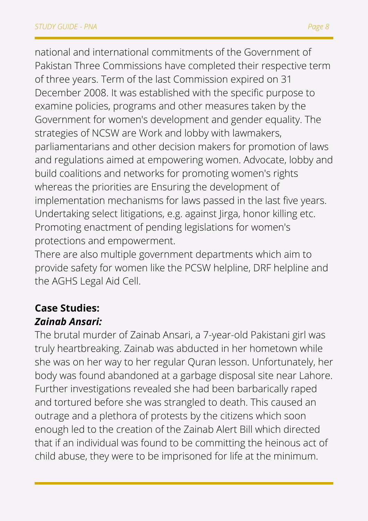national and international commitments of the Government of Pakistan Three Commissions have completed their respective term of three years. Term of the last Commission expired on 31 December 2008. It was established with the specific purpose to examine policies, programs and other measures taken by the Government for women's development and gender equality. The strategies of NCSW are Work and lobby with lawmakers, parliamentarians and other decision makers for promotion of laws and regulations aimed at empowering women. Advocate, lobby and build coalitions and networks for promoting women's rights whereas the priorities are Ensuring the development of implementation mechanisms for laws passed in the last five years. Undertaking select litigations, e.g. against Jirga, honor killing etc. Promoting enactment of pending legislations for women's protections and empowerment.

There are also multiple government departments which aim to provide safety for women like the PCSW helpline, DRF helpline and the AGHS Legal Aid Cell.

## **Case Studies:** *Zainab Ansari:*

The brutal murder of Zainab Ansari, a 7-year-old Pakistani girl was truly heartbreaking. Zainab was abducted in her hometown while she was on her way to her regular Quran lesson. Unfortunately, her body was found abandoned at a garbage disposal site near Lahore. Further investigations revealed she had been barbarically raped and tortured before she was strangled to death. This caused an outrage and a plethora of protests by the citizens which soon enough led to the creation of the Zainab Alert Bill which directed that if an individual was found to be committing the heinous act of child abuse, they were to be imprisoned for life at the minimum.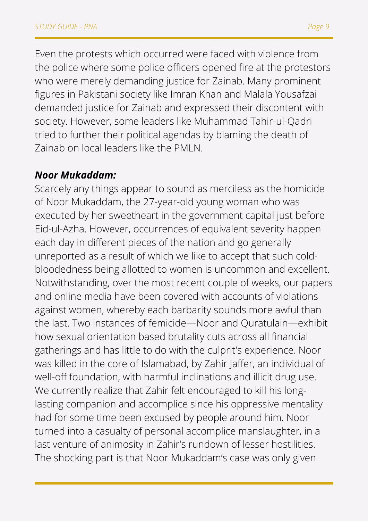Even the protests which occurred were faced with violence from the police where some police officers opened fire at the protestors who were merely demanding justice for Zainab. Many prominent figures in Pakistani society like Imran Khan and Malala Yousafzai demanded justice for Zainab and expressed their discontent with society. However, some leaders like Muhammad Tahir-ul-Qadri tried to further their political agendas by blaming the death of Zainab on local leaders like the PMLN.

## *Noor Mukaddam:*

Scarcely any things appear to sound as merciless as the homicide of Noor Mukaddam, the 27-year-old young woman who was executed by her sweetheart in the government capital just before Eid-ul-Azha. However, occurrences of equivalent severity happen each day in different pieces of the nation and go generally unreported as a result of which we like to accept that such coldbloodedness being allotted to women is uncommon and excellent. Notwithstanding, over the most recent couple of weeks, our papers and online media have been covered with accounts of violations against women, whereby each barbarity sounds more awful than the last. Two instances of femicide—Noor and Quratulain—exhibit how sexual orientation based brutality cuts across all financial gatherings and has little to do with the culprit's experience. Noor was killed in the core of Islamabad, by Zahir Jaffer, an individual of well-off foundation, with harmful inclinations and illicit drug use. We currently realize that Zahir felt encouraged to kill his longlasting companion and accomplice since his oppressive mentality had for some time been excused by people around him. Noor turned into a casualty of personal accomplice manslaughter, in a last venture of animosity in Zahir's rundown of lesser hostilities. The shocking part is that Noor Mukaddam's case was only given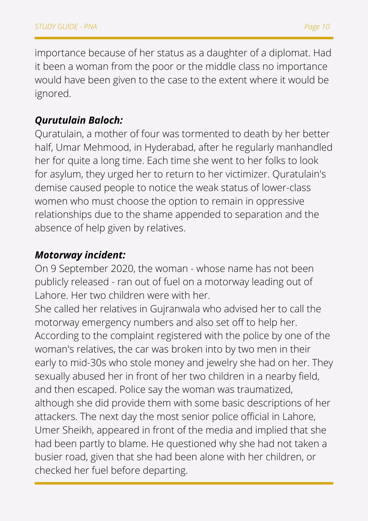importance because of her status as a daughter of a diplomat. Had it been a woman from the poor or the middle class no importance would have been given to the case to the extent where it would be ignored.

#### *Qurutulain Baloch:*

Quratulain, a mother of four was tormented to death by her better half, Umar Mehmood, in Hyderabad, after he regularly manhandled her for quite a long time. Each time she went to her folks to look for asylum, they urged her to return to her victimizer. Quratulain's demise caused people to notice the weak status of lower-class women who must choose the option to remain in oppressive relationships due to the shame appended to separation and the absence of help given by relatives.

#### *Motorway incident:*

On 9 September 2020, the woman - whose name has not been publicly released - ran out of fuel on a motorway leading out of Lahore. Her two children were with her.

She called her relatives in Gujranwala who advised her to call the motorway emergency numbers and also set off to help her. According to the complaint registered with the police by one of the woman's relatives, the car was broken into by two men in their early to mid-30s who stole money and jewelry she had on her. They sexually abused her in front of her two children in a nearby field, and then escaped. Police say the woman was traumatized, although she did provide them with some basic descriptions of her attackers. The next day the most senior police official in Lahore, Umer Sheikh, appeared in front of the media and implied that she had been partly to blame. He questioned why she had not taken a busier road, given that she had been alone with her children, or checked her fuel before departing.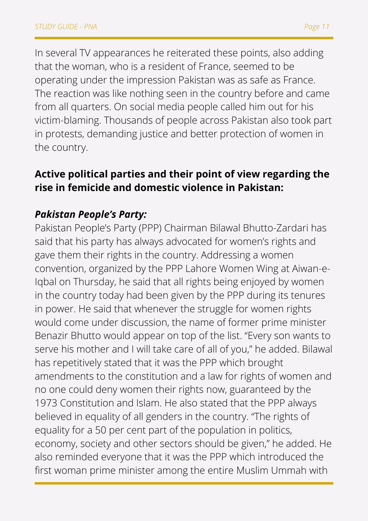In several TV appearances he reiterated these points, also adding that the woman, who is a resident of France, seemed to be operating under the impression Pakistan was as safe as France. The reaction was like nothing seen in the country before and came from all quarters. On social media people called him out for his victim-blaming. Thousands of people across Pakistan also took part in protests, demanding justice and better protection of women in the country.

## **Active political parties and their point of view regarding the rise in femicide and domestic violence in Pakistan:**

## *Pakistan People's Party:*

Pakistan People's Party (PPP) Chairman Bilawal Bhutto-Zardari has said that his party has always advocated for women's rights and gave them their rights in the country. Addressing a women convention, organized by the PPP Lahore Women Wing at Aiwan-e-Iqbal on Thursday, he said that all rights being enjoyed by women in the country today had been given by the PPP during its tenures in power. He said that whenever the struggle for women rights would come under discussion, the name of former prime minister Benazir Bhutto would appear on top of the list. "Every son wants to serve his mother and I will take care of all of you," he added. Bilawal has repetitively stated that it was the PPP which brought amendments to the constitution and a law for rights of women and no one could deny women their rights now, guaranteed by the 1973 Constitution and Islam. He also stated that the PPP always believed in equality of all genders in the country. "The rights of equality for a 50 per cent part of the population in politics, economy, society and other sectors should be given," he added. He also reminded everyone that it was the PPP which introduced the first woman prime minister among the entire Muslim Ummah with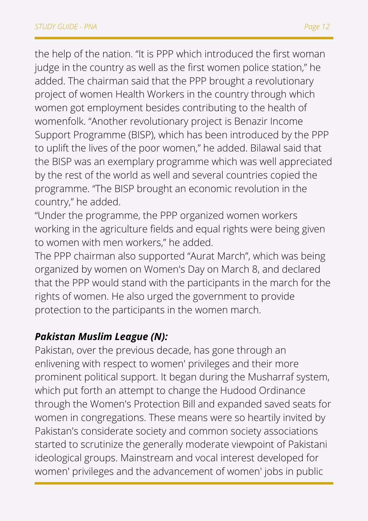the help of the nation. "It is PPP which introduced the first woman judge in the country as well as the first women police station," he added. The chairman said that the PPP brought a revolutionary project of women Health Workers in the country through which women got employment besides contributing to the health of womenfolk. "Another revolutionary project is Benazir Income Support Programme (BISP), which has been introduced by the PPP to uplift the lives of the poor women," he added. Bilawal said that the BISP was an exemplary programme which was well appreciated by the rest of the world as well and several countries copied the programme. "The BISP brought an economic revolution in the country," he added.

"Under the programme, the PPP organized women workers working in the agriculture fields and equal rights were being given to women with men workers," he added.

The PPP chairman also supported "Aurat March", which was being organized by women on Women's Day on March 8, and declared that the PPP would stand with the participants in the march for the rights of women. He also urged the government to provide protection to the participants in the women march.

#### *Pakistan Muslim League (N):*

Pakistan, over the previous decade, has gone through an enlivening with respect to women' privileges and their more prominent political support. It began during the Musharraf system, which put forth an attempt to change the Hudood Ordinance through the Women's Protection Bill and expanded saved seats for women in congregations. These means were so heartily invited by Pakistan's considerate society and common society associations started to scrutinize the generally moderate viewpoint of Pakistani ideological groups. Mainstream and vocal interest developed for women' privileges and the advancement of women' jobs in public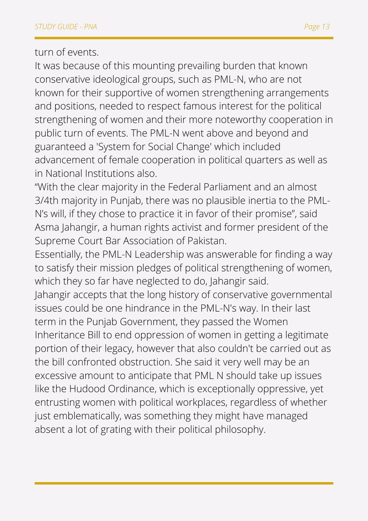turn of events.

It was because of this mounting prevailing burden that known conservative ideological groups, such as PML-N, who are not known for their supportive of women strengthening arrangements and positions, needed to respect famous interest for the political strengthening of women and their more noteworthy cooperation in public turn of events. The PML-N went above and beyond and guaranteed a 'System for Social Change' which included advancement of female cooperation in political quarters as well as in National Institutions also.

"With the clear majority in the Federal Parliament and an almost 3/4th majority in Punjab, there was no plausible inertia to the PML-N's will, if they chose to practice it in favor of their promise", said Asma Jahangir, a human rights activist and former president of the Supreme Court Bar Association of Pakistan.

Essentially, the PML-N Leadership was answerable for finding a way to satisfy their mission pledges of political strengthening of women, which they so far have neglected to do, Jahangir said.

Jahangir accepts that the long history of conservative governmental issues could be one hindrance in the PML-N's way. In their last term in the Punjab Government, they passed the Women Inheritance Bill to end oppression of women in getting a legitimate portion of their legacy, however that also couldn't be carried out as the bill confronted obstruction. She said it very well may be an excessive amount to anticipate that PML N should take up issues like the Hudood Ordinance, which is exceptionally oppressive, yet entrusting women with political workplaces, regardless of whether just emblematically, was something they might have managed absent a lot of grating with their political philosophy.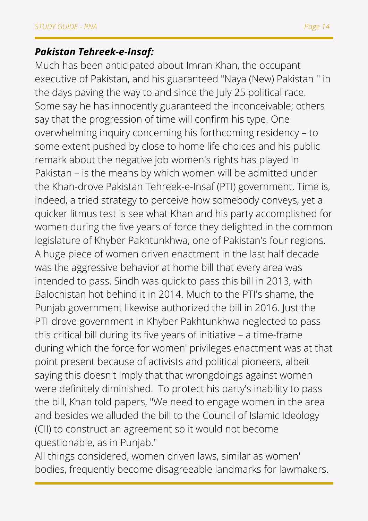## *Pakistan Tehreek-e-Insaf:*

Much has been anticipated about Imran Khan, the occupant executive of Pakistan, and his guaranteed "Naya (New) Pakistan '' in the days paving the way to and since the July 25 political race. Some say he has innocently guaranteed the inconceivable; others say that the progression of time will confirm his type. One overwhelming inquiry concerning his forthcoming residency – to some extent pushed by close to home life choices and his public remark about the negative job women's rights has played in Pakistan – is the means by which women will be admitted under the Khan-drove Pakistan Tehreek-e-Insaf (PTI) government. Time is, indeed, a tried strategy to perceive how somebody conveys, yet a quicker litmus test is see what Khan and his party accomplished for women during the five years of force they delighted in the common legislature of Khyber Pakhtunkhwa, one of Pakistan's four regions. A huge piece of women driven enactment in the last half decade was the aggressive behavior at home bill that every area was intended to pass. Sindh was quick to pass this bill in 2013, with Balochistan hot behind it in 2014. Much to the PTI's shame, the Punjab government likewise authorized the bill in 2016. Just the PTI-drove government in Khyber Pakhtunkhwa neglected to pass this critical bill during its five years of initiative – a time-frame during which the force for women' privileges enactment was at that point present because of activists and political pioneers, albeit saying this doesn't imply that that wrongdoings against women were definitely diminished. To protect his party's inability to pass the bill, Khan told papers, "We need to engage women in the area and besides we alluded the bill to the Council of Islamic Ideology (CII) to construct an agreement so it would not become questionable, as in Punjab."

All things considered, women driven laws, similar as women' bodies, frequently become disagreeable landmarks for lawmakers.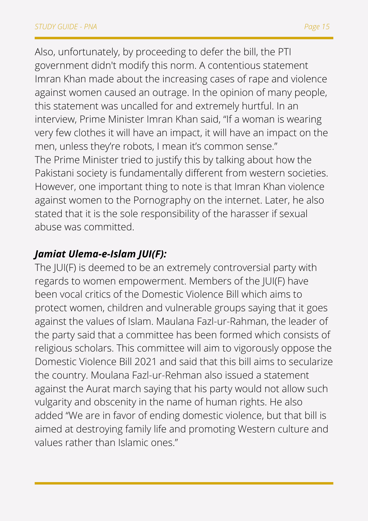Also, unfortunately, by proceeding to defer the bill, the PTI government didn't modify this norm. A contentious statement Imran Khan made about the increasing cases of rape and violence against women caused an outrage. In the opinion of many people, this statement was uncalled for and extremely hurtful. In an interview, Prime Minister Imran Khan said, "If a woman is wearing very few clothes it will have an impact, it will have an impact on the men, unless they're robots, I mean it's common sense." The Prime Minister tried to justify this by talking about how the Pakistani society is fundamentally different from western societies. However, one important thing to note is that Imran Khan violence against women to the Pornography on the internet. Later, he also stated that it is the sole responsibility of the harasser if sexual abuse was committed.

## *Jamiat Ulema-e-Islam JUI(F):*

The JUI(F) is deemed to be an extremely controversial party with regards to women empowerment. Members of the JUI(F) have been vocal critics of the Domestic Violence Bill which aims to protect women, children and vulnerable groups saying that it goes against the values of Islam. Maulana Fazl-ur-Rahman, the leader of the party said that a committee has been formed which consists of religious scholars. This committee will aim to vigorously oppose the Domestic Violence Bill 2021 and said that this bill aims to secularize the country. Moulana Fazl-ur-Rehman also issued a statement against the Aurat march saying that his party would not allow such vulgarity and obscenity in the name of human rights. He also added "We are in favor of ending domestic violence, but that bill is aimed at destroying family life and promoting Western culture and values rather than Islamic ones."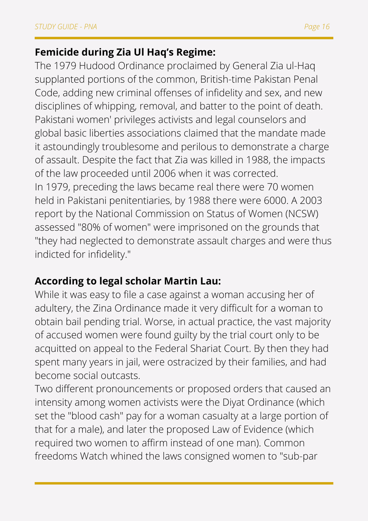## **Femicide during Zia Ul Haq's Regime:**

The 1979 Hudood Ordinance proclaimed by General Zia ul-Haq supplanted portions of the common, British-time Pakistan Penal Code, adding new criminal offenses of infidelity and sex, and new disciplines of whipping, removal, and batter to the point of death. Pakistani women' privileges activists and legal counselors and global basic liberties associations claimed that the mandate made it astoundingly troublesome and perilous to demonstrate a charge of assault. Despite the fact that Zia was killed in 1988, the impacts of the law proceeded until 2006 when it was corrected. In 1979, preceding the laws became real there were 70 women held in Pakistani penitentiaries, by 1988 there were 6000. A 2003 report by the National Commission on Status of Women (NCSW) assessed "80% of women" were imprisoned on the grounds that "they had neglected to demonstrate assault charges and were thus indicted for infidelity."

## **According to legal scholar Martin Lau:**

While it was easy to file a case against a woman accusing her of adultery, the Zina Ordinance made it very difficult for a woman to obtain bail pending trial. Worse, in actual practice, the vast majority of accused women were found guilty by the trial court only to be acquitted on appeal to the Federal Shariat Court. By then they had spent many years in jail, were ostracized by their families, and had become social outcasts.

Two different pronouncements or proposed orders that caused an intensity among women activists were the Diyat Ordinance (which set the "blood cash" pay for a woman casualty at a large portion of that for a male), and later the proposed Law of Evidence (which required two women to affirm instead of one man). Common freedoms Watch whined the laws consigned women to "sub-par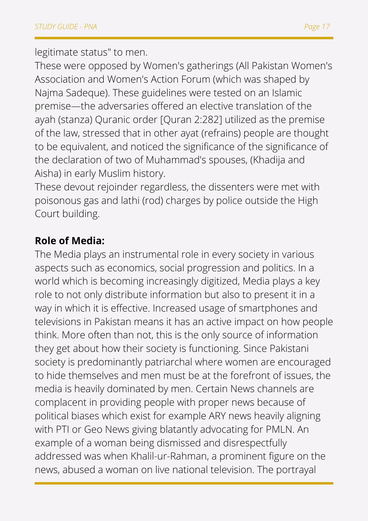legitimate status" to men.

These were opposed by Women's gatherings (All Pakistan Women's Association and Women's Action Forum (which was shaped by Najma Sadeque). These guidelines were tested on an Islamic premise—the adversaries offered an elective translation of the ayah (stanza) Quranic order [Quran 2:282] utilized as the premise of the law, stressed that in other ayat (refrains) people are thought to be equivalent, and noticed the significance of the significance of the declaration of two of Muhammad's spouses, (Khadija and Aisha) in early Muslim history.

These devout rejoinder regardless, the dissenters were met with poisonous gas and lathi (rod) charges by police outside the High Court building.

## **Role of Media:**

The Media plays an instrumental role in every society in various aspects such as economics, social progression and politics. In a world which is becoming increasingly digitized, Media plays a key role to not only distribute information but also to present it in a way in which it is effective. Increased usage of smartphones and televisions in Pakistan means it has an active impact on how people think. More often than not, this is the only source of information they get about how their society is functioning. Since Pakistani society is predominantly patriarchal where women are encouraged to hide themselves and men must be at the forefront of issues, the media is heavily dominated by men. Certain News channels are complacent in providing people with proper news because of political biases which exist for example ARY news heavily aligning with PTI or Geo News giving blatantly advocating for PMLN. An example of a woman being dismissed and disrespectfully addressed was when Khalil-ur-Rahman, a prominent figure on the news, abused a woman on live national television. The portrayal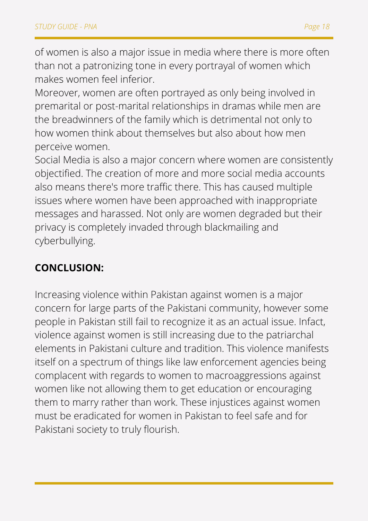of women is also a major issue in media where there is more often than not a patronizing tone in every portrayal of women which makes women feel inferior.

Moreover, women are often portrayed as only being involved in premarital or post-marital relationships in dramas while men are the breadwinners of the family which is detrimental not only to how women think about themselves but also about how men perceive women.

Social Media is also a major concern where women are consistently objectified. The creation of more and more social media accounts also means there's more traffic there. This has caused multiple issues where women have been approached with inappropriate messages and harassed. Not only are women degraded but their privacy is completely invaded through blackmailing and cyberbullying.

## **CONCLUSION:**

Increasing violence within Pakistan against women is a major concern for large parts of the Pakistani community, however some people in Pakistan still fail to recognize it as an actual issue. Infact, violence against women is still increasing due to the patriarchal elements in Pakistani culture and tradition. This violence manifests itself on a spectrum of things like law enforcement agencies being complacent with regards to women to macroaggressions against women like not allowing them to get education or encouraging them to marry rather than work. These injustices against women must be eradicated for women in Pakistan to feel safe and for Pakistani society to truly flourish.